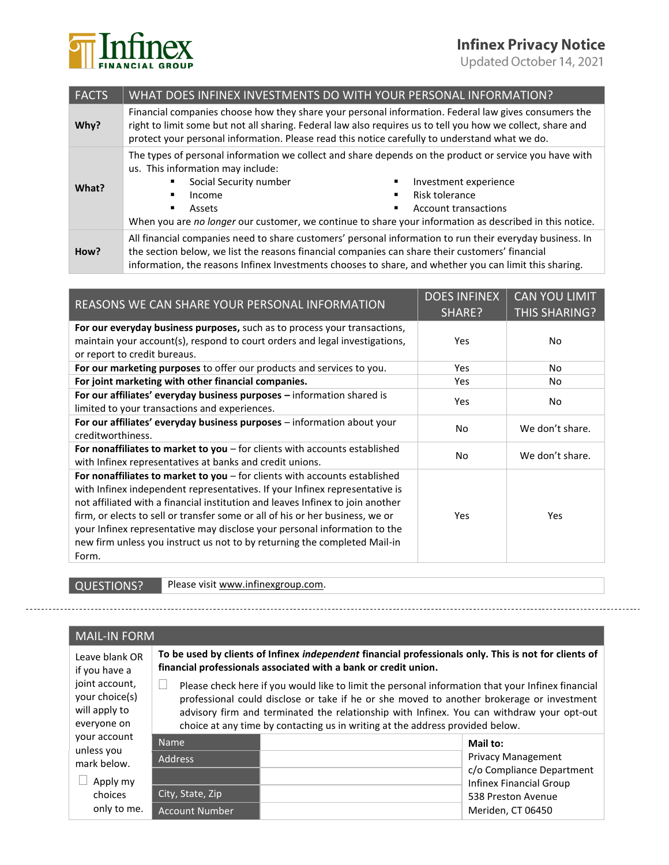## **Infinex Privacy Notice**

Updated October 14, 2021



| <b>FACTS</b> | WHAT DOES INFINEX INVESTMENTS DO WITH YOUR PERSONAL INFORMATION?                                                                                                                                                                                                                                                      |                                                                                                                                                                                                                                                                                      |  |
|--------------|-----------------------------------------------------------------------------------------------------------------------------------------------------------------------------------------------------------------------------------------------------------------------------------------------------------------------|--------------------------------------------------------------------------------------------------------------------------------------------------------------------------------------------------------------------------------------------------------------------------------------|--|
| Why?         | Financial companies choose how they share your personal information. Federal law gives consumers the<br>right to limit some but not all sharing. Federal law also requires us to tell you how we collect, share and<br>protect your personal information. Please read this notice carefully to understand what we do. |                                                                                                                                                                                                                                                                                      |  |
| What?        | us. This information may include:<br>Social Security number<br>Income<br>٠<br>Assets<br>٠                                                                                                                                                                                                                             | The types of personal information we collect and share depends on the product or service you have with<br>Investment experience<br>Risk tolerance<br>Account transactions<br>When you are no longer our customer, we continue to share your information as described in this notice. |  |
| How?         | All financial companies need to share customers' personal information to run their everyday business. In<br>the section below, we list the reasons financial companies can share their customers' financial<br>information, the reasons Infinex Investments chooses to share, and whether you can limit this sharing. |                                                                                                                                                                                                                                                                                      |  |

| REASONS WE CAN SHARE YOUR PERSONAL INFORMATION                                                                                                                                                                                                                                                                                                                                                                                                                                                    | <b>DOES INFINEX</b><br>SHARE? | <b>CAN YOU LIMIT</b><br><b>THIS SHARING?</b> |
|---------------------------------------------------------------------------------------------------------------------------------------------------------------------------------------------------------------------------------------------------------------------------------------------------------------------------------------------------------------------------------------------------------------------------------------------------------------------------------------------------|-------------------------------|----------------------------------------------|
| For our everyday business purposes, such as to process your transactions,<br>maintain your account(s), respond to court orders and legal investigations,<br>or report to credit bureaus.                                                                                                                                                                                                                                                                                                          | Yes.                          | No                                           |
| For our marketing purposes to offer our products and services to you.                                                                                                                                                                                                                                                                                                                                                                                                                             | Yes                           | No                                           |
| For joint marketing with other financial companies.                                                                                                                                                                                                                                                                                                                                                                                                                                               | Yes                           | No                                           |
| For our affiliates' everyday business purposes - information shared is<br>limited to your transactions and experiences.                                                                                                                                                                                                                                                                                                                                                                           | Yes                           | No                                           |
| For our affiliates' everyday business purposes - information about your<br>creditworthiness.                                                                                                                                                                                                                                                                                                                                                                                                      | N <sub>o</sub>                | We don't share.                              |
| For nonaffiliates to market to you – for clients with accounts established<br>with Infinex representatives at banks and credit unions.                                                                                                                                                                                                                                                                                                                                                            | No                            | We don't share.                              |
| For nonaffiliates to market to you $-$ for clients with accounts established<br>with Infinex independent representatives. If your Infinex representative is<br>not affiliated with a financial institution and leaves Infinex to join another<br>firm, or elects to sell or transfer some or all of his or her business, we or<br>your Infinex representative may disclose your personal information to the<br>new firm unless you instruct us not to by returning the completed Mail-in<br>Form. | Yes                           | Yes                                          |

joint account, your choice(s) will apply to

QUESTIONS? Please visi[t www.infinexgroup.com.](http://www.infinexgroup.com/)

## MAIL-IN FORM Leave blank OR if you have a

**To be used by clients of Infinex** *independent* **financial professionals only. This is not for clients of financial professionals associated with a bank or credit union.**

 $\Box$  Please check here if you would like to limit the personal information that your Infinex financial professional could disclose or take if he or she moved to another brokerage or investment advisory firm and terminated the relationship with Infinex. You can withdraw your opt-out choice at any time by contacting us in writing at the address provided below.

| everyone on               | choice at any time by contacting us in writing at the address provided below. |                                                             |  |
|---------------------------|-------------------------------------------------------------------------------|-------------------------------------------------------------|--|
| your account              | <b>Name</b>                                                                   | Mail to:                                                    |  |
| unless you<br>mark below. | <b>Address</b>                                                                | <b>Privacy Management</b>                                   |  |
| Apply my                  |                                                                               | c/o Compliance Department<br><b>Infinex Financial Group</b> |  |
| choices                   | City, State, Zip                                                              | 538 Preston Avenue                                          |  |
| only to me.               | <b>Account Number</b>                                                         | Meriden, CT 06450                                           |  |